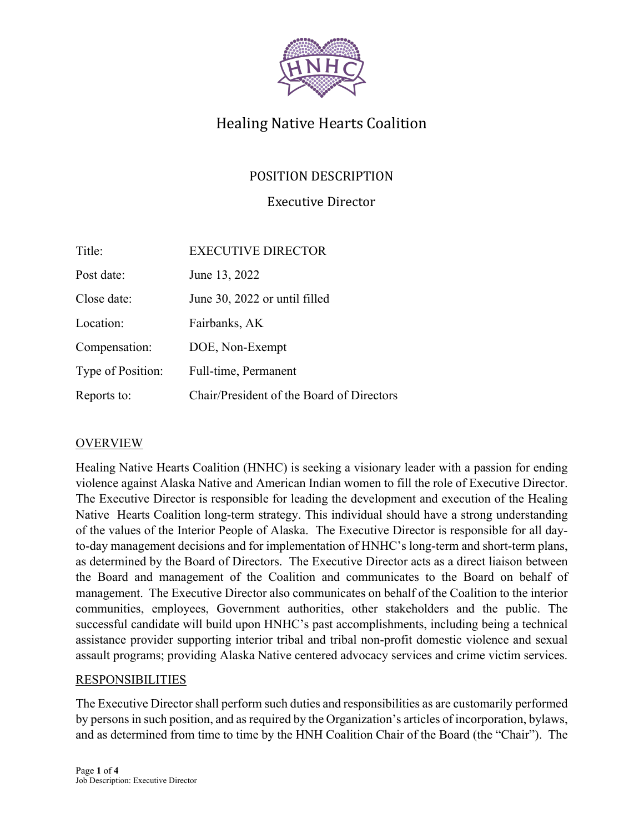

## Healing Native Hearts Coalition

## POSITION DESCRIPTION

Executive Director

| Title:            | <b>EXECUTIVE DIRECTOR</b>                 |
|-------------------|-------------------------------------------|
| Post date:        | June 13, 2022                             |
| Close date:       | June 30, 2022 or until filled             |
| Location:         | Fairbanks, AK                             |
| Compensation:     | DOE, Non-Exempt                           |
| Type of Position: | Full-time, Permanent                      |
| Reports to:       | Chair/President of the Board of Directors |

## OVERVIEW

Healing Native Hearts Coalition (HNHC) is seeking a visionary leader with a passion for ending violence against Alaska Native and American Indian women to fill the role of Executive Director. The Executive Director is responsible for leading the development and execution of the Healing Native Hearts Coalition long-term strategy. This individual should have a strong understanding of the values of the Interior People of Alaska. The Executive Director is responsible for all dayto-day management decisions and for implementation of HNHC's long-term and short-term plans, as determined by the Board of Directors. The Executive Director acts as a direct liaison between the Board and management of the Coalition and communicates to the Board on behalf of management. The Executive Director also communicates on behalf of the Coalition to the interior communities, employees, Government authorities, other stakeholders and the public. The successful candidate will build upon HNHC's past accomplishments, including being a technical assistance provider supporting interior tribal and tribal non-profit domestic violence and sexual assault programs; providing Alaska Native centered advocacy services and crime victim services.

#### RESPONSIBILITIES

The Executive Director shall perform such duties and responsibilities as are customarily performed by persons in such position, and as required by the Organization's articles of incorporation, bylaws, and as determined from time to time by the HNH Coalition Chair of the Board (the "Chair"). The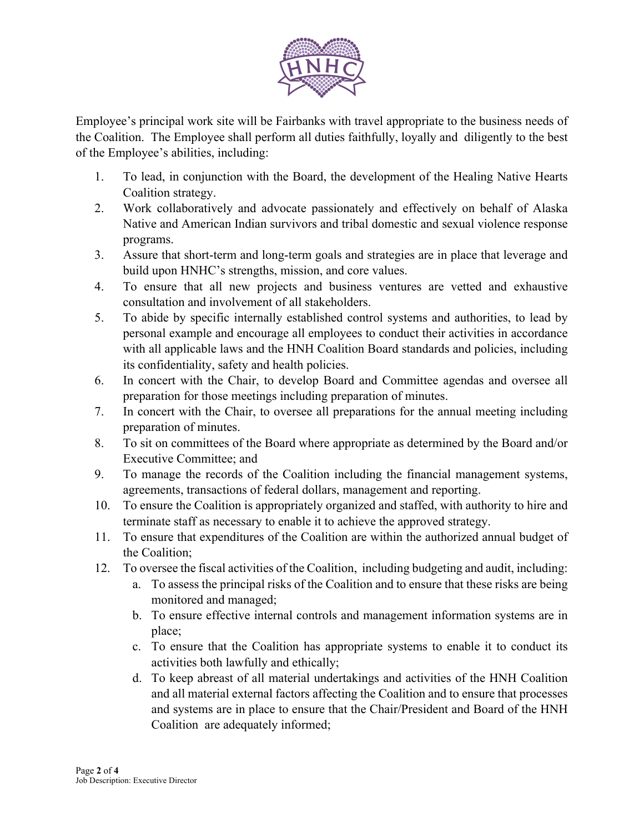

Employee's principal work site will be Fairbanks with travel appropriate to the business needs of the Coalition. The Employee shall perform all duties faithfully, loyally and diligently to the best of the Employee's abilities, including:

- 1. To lead, in conjunction with the Board, the development of the Healing Native Hearts Coalition strategy.
- 2. Work collaboratively and advocate passionately and effectively on behalf of Alaska Native and American Indian survivors and tribal domestic and sexual violence response programs.
- 3. Assure that short-term and long-term goals and strategies are in place that leverage and build upon HNHC's strengths, mission, and core values.
- 4. To ensure that all new projects and business ventures are vetted and exhaustive consultation and involvement of all stakeholders.
- 5. To abide by specific internally established control systems and authorities, to lead by personal example and encourage all employees to conduct their activities in accordance with all applicable laws and the HNH Coalition Board standards and policies, including its confidentiality, safety and health policies.
- 6. In concert with the Chair, to develop Board and Committee agendas and oversee all preparation for those meetings including preparation of minutes.
- 7. In concert with the Chair, to oversee all preparations for the annual meeting including preparation of minutes.
- 8. To sit on committees of the Board where appropriate as determined by the Board and/or Executive Committee; and
- 9. To manage the records of the Coalition including the financial management systems, agreements, transactions of federal dollars, management and reporting.
- 10. To ensure the Coalition is appropriately organized and staffed, with authority to hire and terminate staff as necessary to enable it to achieve the approved strategy.
- 11. To ensure that expenditures of the Coalition are within the authorized annual budget of the Coalition;
- 12. To oversee the fiscal activities of the Coalition, including budgeting and audit, including:
	- a. To assess the principal risks of the Coalition and to ensure that these risks are being monitored and managed;
	- b. To ensure effective internal controls and management information systems are in place;
	- c. To ensure that the Coalition has appropriate systems to enable it to conduct its activities both lawfully and ethically;
	- d. To keep abreast of all material undertakings and activities of the HNH Coalition and all material external factors affecting the Coalition and to ensure that processes and systems are in place to ensure that the Chair/President and Board of the HNH Coalition are adequately informed;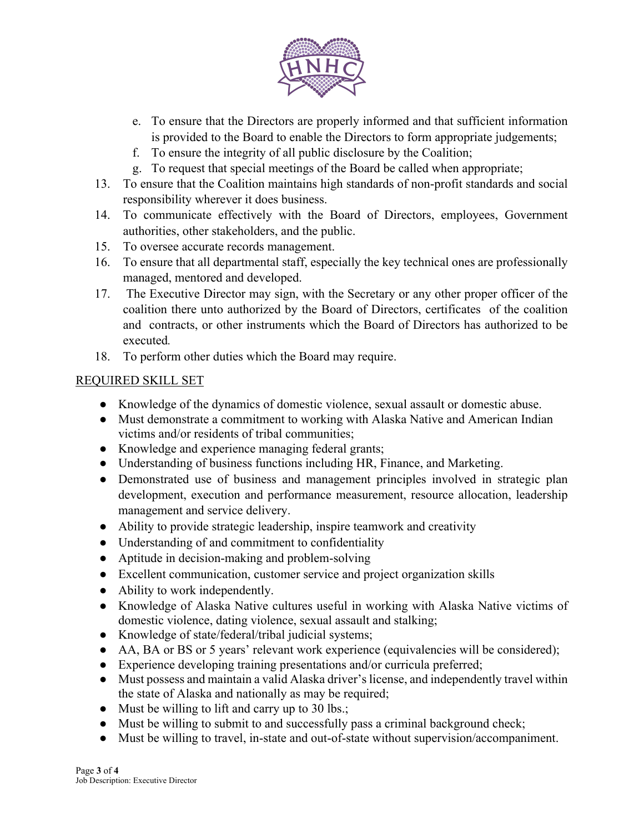

- e. To ensure that the Directors are properly informed and that sufficient information is provided to the Board to enable the Directors to form appropriate judgements;
- f. To ensure the integrity of all public disclosure by the Coalition;
- g. To request that special meetings of the Board be called when appropriate;
- 13. To ensure that the Coalition maintains high standards of non-profit standards and social responsibility wherever it does business.
- 14. To communicate effectively with the Board of Directors, employees, Government authorities, other stakeholders, and the public.
- 15. To oversee accurate records management.
- 16. To ensure that all departmental staff, especially the key technical ones are professionally managed, mentored and developed.
- 17. The Executive Director may sign, with the Secretary or any other proper officer of the coalition there unto authorized by the Board of Directors, certificates of the coalition and contracts, or other instruments which the Board of Directors has authorized to be executed*.*
- 18. To perform other duties which the Board may require.

## REQUIRED SKILL SET

- Knowledge of the dynamics of domestic violence, sexual assault or domestic abuse.
- Must demonstrate a commitment to working with Alaska Native and American Indian victims and/or residents of tribal communities;
- Knowledge and experience managing federal grants;
- Understanding of business functions including HR, Finance, and Marketing.
- Demonstrated use of business and management principles involved in strategic plan development, execution and performance measurement, resource allocation, leadership management and service delivery.
- Ability to provide strategic leadership, inspire teamwork and creativity
- Understanding of and commitment to confidentiality
- Aptitude in decision-making and problem-solving
- Excellent communication, customer service and project organization skills
- Ability to work independently.
- Knowledge of Alaska Native cultures useful in working with Alaska Native victims of domestic violence, dating violence, sexual assault and stalking;
- Knowledge of state/federal/tribal judicial systems;
- AA, BA or BS or 5 years' relevant work experience (equivalencies will be considered);
- Experience developing training presentations and/or curricula preferred;
- Must possess and maintain a valid Alaska driver's license, and independently travel within the state of Alaska and nationally as may be required;
- Must be willing to lift and carry up to 30 lbs.;
- Must be willing to submit to and successfully pass a criminal background check;
- Must be willing to travel, in-state and out-of-state without supervision/accompaniment.